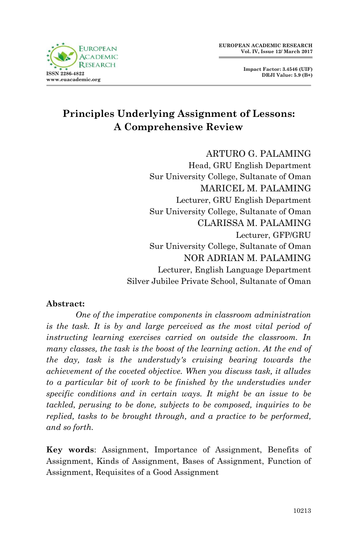



# **Principles Underlying Assignment of Lessons: A Comprehensive Review**

# ARTURO G. PALAMING

Head, GRU English Department Sur University College, Sultanate of Oman MARICEL M. PALAMING Lecturer, GRU English Department Sur University College, Sultanate of Oman CLARISSA M. PALAMING Lecturer, GFP/GRU Sur University College, Sultanate of Oman NOR ADRIAN M. PALAMING Lecturer, English Language Department Silver Jubilee Private School, Sultanate of Oman

#### **Abstract:**

*One of the imperative components in classroom administration is the task. It is by and large perceived as the most vital period of instructing learning exercises carried on outside the classroom. In many classes, the task is the boost of the learning action. At the end of the day, task is the understudy's cruising bearing towards the achievement of the coveted objective. When you discuss task, it alludes to a particular bit of work to be finished by the understudies under specific conditions and in certain ways. It might be an issue to be tackled, perusing to be done, subjects to be composed, inquiries to be replied, tasks to be brought through, and a practice to be performed, and so forth.*

**Key words**: Assignment, Importance of Assignment, Benefits of Assignment, Kinds of Assignment, Bases of Assignment, Function of Assignment, Requisites of a Good Assignment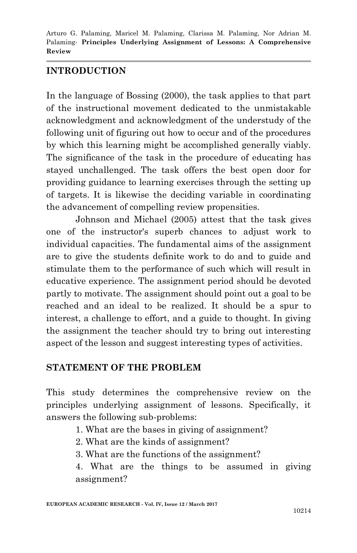## **INTRODUCTION**

In the language of Bossing (2000), the task applies to that part of the instructional movement dedicated to the unmistakable acknowledgment and acknowledgment of the understudy of the following unit of figuring out how to occur and of the procedures by which this learning might be accomplished generally viably. The significance of the task in the procedure of educating has stayed unchallenged. The task offers the best open door for providing guidance to learning exercises through the setting up of targets. It is likewise the deciding variable in coordinating the advancement of compelling review propensities.

Johnson and Michael (2005) attest that the task gives one of the instructor's superb chances to adjust work to individual capacities. The fundamental aims of the assignment are to give the students definite work to do and to guide and stimulate them to the performance of such which will result in educative experience. The assignment period should be devoted partly to motivate. The assignment should point out a goal to be reached and an ideal to be realized. It should be a spur to interest, a challenge to effort, and a guide to thought. In giving the assignment the teacher should try to bring out interesting aspect of the lesson and suggest interesting types of activities.

#### **STATEMENT OF THE PROBLEM**

This study determines the comprehensive review on the principles underlying assignment of lessons. Specifically, it answers the following sub-problems:

- 1. What are the bases in giving of assignment?
- 2. What are the kinds of assignment?
- 3. What are the functions of the assignment?

4. What are the things to be assumed in giving assignment?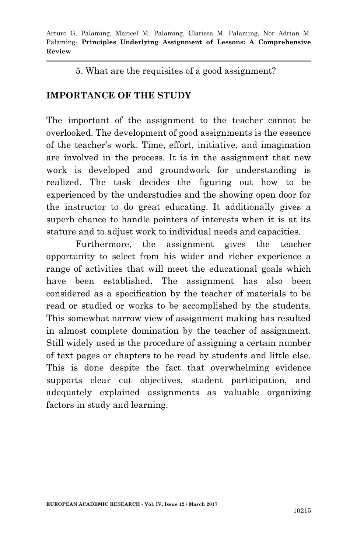5. What are the requisites of a good assignment?

## **IMPORTANCE OF THE STUDY**

The important of the assignment to the teacher cannot be overlooked. The development of good assignments is the essence of the teacher's work. Time, effort, initiative, and imagination are involved in the process. It is in the assignment that new work is developed and groundwork for understanding is realized. The task decides the figuring out how to be experienced by the understudies and the showing open door for the instructor to do great educating. It additionally gives a superb chance to handle pointers of interests when it is at its stature and to adjust work to individual needs and capacities.

Furthermore, the assignment gives the teacher opportunity to select from his wider and richer experience a range of activities that will meet the educational goals which have been established. The assignment has also been considered as a specification by the teacher of materials to be read or studied or works to be accomplished by the students. This somewhat narrow view of assignment making has resulted in almost complete domination by the teacher of assignment. Still widely used is the procedure of assigning a certain number of text pages or chapters to be read by students and little else. This is done despite the fact that overwhelming evidence supports clear cut objectives, student participation, and adequately explained assignments as valuable organizing factors in study and learning.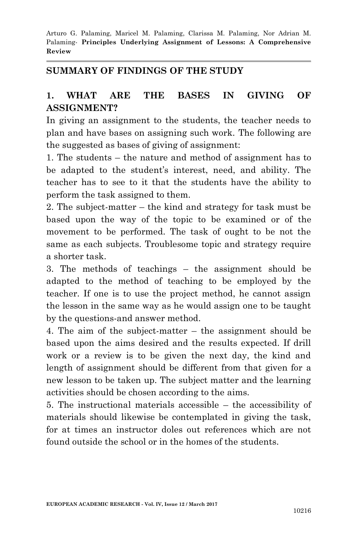#### **SUMMARY OF FINDINGS OF THE STUDY**

## **1. WHAT ARE THE BASES IN GIVING OF ASSIGNMENT?**

In giving an assignment to the students, the teacher needs to plan and have bases on assigning such work. The following are the suggested as bases of giving of assignment:

1. The students – the nature and method of assignment has to be adapted to the student's interest, need, and ability. The teacher has to see to it that the students have the ability to perform the task assigned to them.

2. The subject-matter – the kind and strategy for task must be based upon the way of the topic to be examined or of the movement to be performed. The task of ought to be not the same as each subjects. Troublesome topic and strategy require a shorter task.

3. The methods of teachings – the assignment should be adapted to the method of teaching to be employed by the teacher. If one is to use the project method, he cannot assign the lesson in the same way as he would assign one to be taught by the questions-and answer method.

4. The aim of the subject-matter – the assignment should be based upon the aims desired and the results expected. If drill work or a review is to be given the next day, the kind and length of assignment should be different from that given for a new lesson to be taken up. The subject matter and the learning activities should be chosen according to the aims.

5. The instructional materials accessible – the accessibility of materials should likewise be contemplated in giving the task, for at times an instructor doles out references which are not found outside the school or in the homes of the students.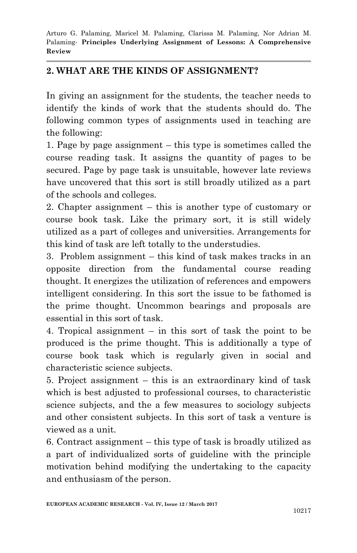## **2. WHAT ARE THE KINDS OF ASSIGNMENT?**

In giving an assignment for the students, the teacher needs to identify the kinds of work that the students should do. The following common types of assignments used in teaching are the following:

1. Page by page assignment – this type is sometimes called the course reading task. It assigns the quantity of pages to be secured. Page by page task is unsuitable, however late reviews have uncovered that this sort is still broadly utilized as a part of the schools and colleges.

2. Chapter assignment – this is another type of customary or course book task. Like the primary sort, it is still widely utilized as a part of colleges and universities. Arrangements for this kind of task are left totally to the understudies.

3. Problem assignment – this kind of task makes tracks in an opposite direction from the fundamental course reading thought. It energizes the utilization of references and empowers intelligent considering. In this sort the issue to be fathomed is the prime thought. Uncommon bearings and proposals are essential in this sort of task.

4. Tropical assignment – in this sort of task the point to be produced is the prime thought. This is additionally a type of course book task which is regularly given in social and characteristic science subjects.

5. Project assignment – this is an extraordinary kind of task which is best adjusted to professional courses, to characteristic science subjects, and the a few measures to sociology subjects and other consistent subjects. In this sort of task a venture is viewed as a unit.

6. Contract assignment – this type of task is broadly utilized as a part of individualized sorts of guideline with the principle motivation behind modifying the undertaking to the capacity and enthusiasm of the person.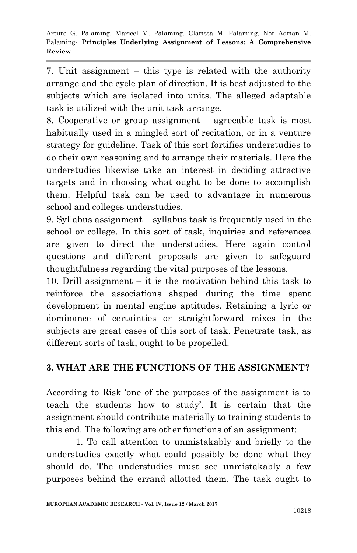7. Unit assignment – this type is related with the authority arrange and the cycle plan of direction. It is best adjusted to the subjects which are isolated into units. The alleged adaptable task is utilized with the unit task arrange.

8. Cooperative or group assignment – agreeable task is most habitually used in a mingled sort of recitation, or in a venture strategy for guideline. Task of this sort fortifies understudies to do their own reasoning and to arrange their materials. Here the understudies likewise take an interest in deciding attractive targets and in choosing what ought to be done to accomplish them. Helpful task can be used to advantage in numerous school and colleges understudies.

9. Syllabus assignment – syllabus task is frequently used in the school or college. In this sort of task, inquiries and references are given to direct the understudies. Here again control questions and different proposals are given to safeguard thoughtfulness regarding the vital purposes of the lessons.

10. Drill assignment – it is the motivation behind this task to reinforce the associations shaped during the time spent development in mental engine aptitudes. Retaining a lyric or dominance of certainties or straightforward mixes in the subjects are great cases of this sort of task. Penetrate task, as different sorts of task, ought to be propelled.

## **3. WHAT ARE THE FUNCTIONS OF THE ASSIGNMENT?**

According to Risk 'one of the purposes of the assignment is to teach the students how to study'. It is certain that the assignment should contribute materially to training students to this end. The following are other functions of an assignment:

1. To call attention to unmistakably and briefly to the understudies exactly what could possibly be done what they should do. The understudies must see unmistakably a few purposes behind the errand allotted them. The task ought to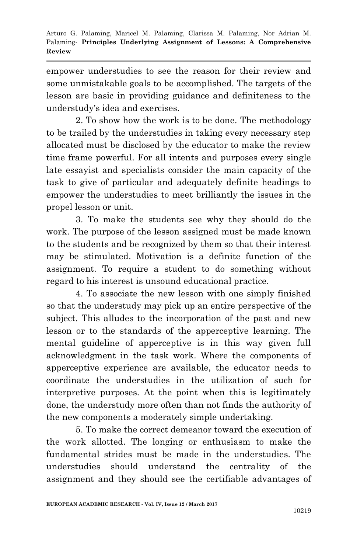empower understudies to see the reason for their review and some unmistakable goals to be accomplished. The targets of the lesson are basic in providing guidance and definiteness to the understudy's idea and exercises.

2. To show how the work is to be done. The methodology to be trailed by the understudies in taking every necessary step allocated must be disclosed by the educator to make the review time frame powerful. For all intents and purposes every single late essayist and specialists consider the main capacity of the task to give of particular and adequately definite headings to empower the understudies to meet brilliantly the issues in the propel lesson or unit.

3. To make the students see why they should do the work. The purpose of the lesson assigned must be made known to the students and be recognized by them so that their interest may be stimulated. Motivation is a definite function of the assignment. To require a student to do something without regard to his interest is unsound educational practice.

4. To associate the new lesson with one simply finished so that the understudy may pick up an entire perspective of the subject. This alludes to the incorporation of the past and new lesson or to the standards of the apperceptive learning. The mental guideline of apperceptive is in this way given full acknowledgment in the task work. Where the components of apperceptive experience are available, the educator needs to coordinate the understudies in the utilization of such for interpretive purposes. At the point when this is legitimately done, the understudy more often than not finds the authority of the new components a moderately simple undertaking.

5. To make the correct demeanor toward the execution of the work allotted. The longing or enthusiasm to make the fundamental strides must be made in the understudies. The understudies should understand the centrality of the assignment and they should see the certifiable advantages of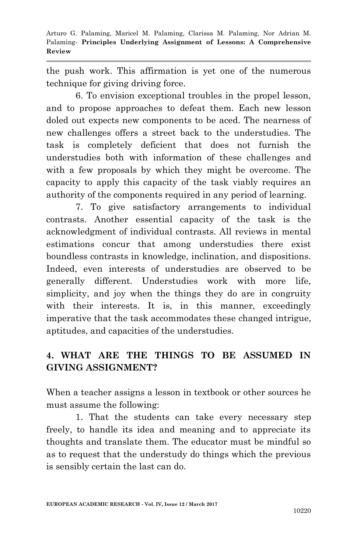the push work. This affirmation is yet one of the numerous technique for giving driving force.

6. To envision exceptional troubles in the propel lesson, and to propose approaches to defeat them. Each new lesson doled out expects new components to be aced. The nearness of new challenges offers a street back to the understudies. The task is completely deficient that does not furnish the understudies both with information of these challenges and with a few proposals by which they might be overcome. The capacity to apply this capacity of the task viably requires an authority of the components required in any period of learning.

7. To give satisfactory arrangements to individual contrasts. Another essential capacity of the task is the acknowledgment of individual contrasts. All reviews in mental estimations concur that among understudies there exist boundless contrasts in knowledge, inclination, and dispositions. Indeed, even interests of understudies are observed to be generally different. Understudies work with more life, simplicity, and joy when the things they do are in congruity with their interests. It is, in this manner, exceedingly imperative that the task accommodates these changed intrigue, aptitudes, and capacities of the understudies.

# **4. WHAT ARE THE THINGS TO BE ASSUMED IN GIVING ASSIGNMENT?**

When a teacher assigns a lesson in textbook or other sources he must assume the following:

1. That the students can take every necessary step freely, to handle its idea and meaning and to appreciate its thoughts and translate them. The educator must be mindful so as to request that the understudy do things which the previous is sensibly certain the last can do.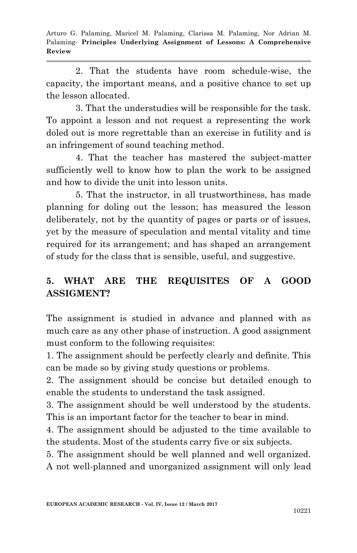2. That the students have room schedule-wise, the capacity, the important means, and a positive chance to set up the lesson allocated.

3. That the understudies will be responsible for the task. To appoint a lesson and not request a representing the work doled out is more regrettable than an exercise in futility and is an infringement of sound teaching method.

4. That the teacher has mastered the subject-matter sufficiently well to know how to plan the work to be assigned and how to divide the unit into lesson units.

5. That the instructor, in all trustworthiness, has made planning for doling out the lesson; has measured the lesson deliberately, not by the quantity of pages or parts or of issues, yet by the measure of speculation and mental vitality and time required for its arrangement; and has shaped an arrangement of study for the class that is sensible, useful, and suggestive.

# **5. WHAT ARE THE REQUISITES OF A GOOD ASSIGMENT?**

The assignment is studied in advance and planned with as much care as any other phase of instruction. A good assignment must conform to the following requisites:

1. The assignment should be perfectly clearly and definite. This can be made so by giving study questions or problems.

2. The assignment should be concise but detailed enough to enable the students to understand the task assigned.

3. The assignment should be well understood by the students. This is an important factor for the teacher to bear in mind.

4. The assignment should be adjusted to the time available to the students. Most of the students carry five or six subjects.

5. The assignment should be well planned and well organized. A not well-planned and unorganized assignment will only lead